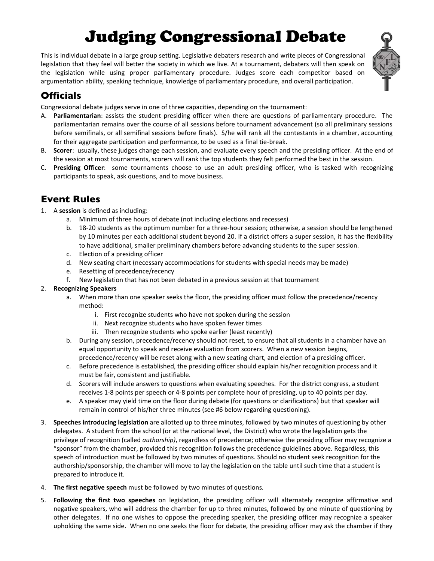# **Judging Congressional Debate**

This is individual debate in a large group setting. Legislative debaters research and write pieces of Congressional legislation that they feel will better the society in which we live. At a tournament, debaters will then speak on the legislation while using proper parliamentary procedure. Judges score each competitor based on argumentation ability, speaking technique, knowledge of parliamentary procedure, and overall participation.



## **Officials**

Congressional debate judges serve in one of three capacities, depending on the tournament:

- A. Parliamentarian: assists the student presiding officer when there are questions of parliamentary procedure. The parliamentarian remains over the course of all sessions before tournament advancement (so all preliminary sessions before semifinals, or all semifinal sessions before finals). S/he will rank all the contestants in a chamber, accounting for their aggregate participation and performance, to be used as a final tie-break.
- B. Scorer: usually, these judges change each session, and evaluate every speech and the presiding officer. At the end of the session at most tournaments, scorers will rank the top students they felt performed the best in the session.
- C. Presiding Officer: some tournaments choose to use an adult presiding officer, who is tasked with recognizing participants to speak, ask questions, and to move business.

## **Event Rules**

- 1. A session is defined as including:
	- a. Minimum of three hours of debate (not including elections and recesses)
	- b. 18-20 students as the optimum number for a three-hour session; otherwise, a session should be lengthened by 10 minutes per each additional student beyond 20. If a district offers a super session, it has the flexibility to have additional, smaller preliminary chambers before advancing students to the super session.
	- c. Election of a presiding officer
	- d. New seating chart (necessary accommodations for students with special needs may be made)
	- e. Resetting of precedence/recency
	- f. New legislation that has not been debated in a previous session at that tournament
- 2. Recognizing Speakers
	- a. When more than one speaker seeks the floor, the presiding officer must follow the precedence/recency method:
		- i. First recognize students who have not spoken during the session
		- ii. Next recognize students who have spoken fewer times
		- iii. Then recognize students who spoke earlier (least recently)
	- b. During any session, precedence/recency should not reset, to ensure that all students in a chamber have an equal opportunity to speak and receive evaluation from scorers. When a new session begins, precedence/recency will be reset along with a new seating chart, and election of a presiding officer.
	- Before precedence is established, the presiding officer should explain his/her recognition process and it c. must be fair, consistent and justifiable.
	- d. Scorers will include answers to questions when evaluating speeches. For the district congress, a student receives 1-8 points per speech or 4-8 points per complete hour of presiding, up to 40 points per day.
	- e. A speaker may yield time on the floor during debate (for questions or clarifications) but that speaker will remain in control of his/her three minutes (see #6 below regarding questioning).
- 3. Speeches introducing legislation are allotted up to three minutes, followed by two minutes of questioning by other delegates. A student from the school (or at the national level, the District) who wrote the legislation gets the privilege of recognition (called authorship), regardless of precedence; otherwise the presiding officer may recognize a "sponsor" from the chamber, provided this recognition follows the precedence guidelines above. Regardless, this speech of introduction must be followed by two minutes of questions. Should no student seek recognition for the authorship/sponsorship, the chamber will move to lay the legislation on the table until such time that a student is prepared to introduce it.
- 4. The first negative speech must be followed by two minutes of questions.
- 5. Following the first two speeches on legislation, the presiding officer will alternately recognize affirmative and negative speakers, who will address the chamber for up to three minutes, followed by one minute of questioning by other delegates. If no one wishes to oppose the preceding speaker, the presiding officer may recognize a speaker upholding the same side. When no one seeks the floor for debate, the presiding officer may ask the chamber if they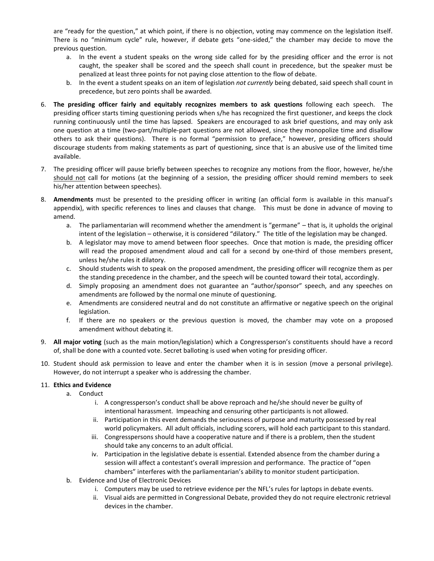are "ready for the question," at which point, if there is no objection, voting may commence on the legislation itself. There is no "minimum cycle" rule, however, if debate gets "one-sided," the chamber may decide to move the previous question.

- a. In the event a student speaks on the wrong side called for by the presiding officer and the error is not caught, the speaker shall be scored and the speech shall count in precedence, but the speaker must be penalized at least three points for not paying close attention to the flow of debate.
- b. In the event a student speaks on an item of legislation not currently being debated, said speech shall count in precedence, but zero points shall be awarded.
- 6. The presiding officer fairly and equitably recognizes members to ask questions following each speech. The presiding officer starts timing questioning periods when s/he has recognized the first questioner, and keeps the clock running continuously until the time has lapsed. Speakers are encouraged to ask brief questions, and may only ask one question at a time (two-part/multiple-part questions are not allowed, since they monopolize time and disallow others to ask their questions). There is no formal "permission to preface," however, presiding officers should discourage students from making statements as part of questioning, since that is an abusive use of the limited time available.
- 7. The presiding officer will pause briefly between speeches to recognize any motions from the floor, however, he/she should not call for motions (at the beginning of a session, the presiding officer should remind members to seek his/her attention between speeches).
- 8. Amendments must be presented to the presiding officer in writing (an official form is available in this manual's appendix), with specific references to lines and clauses that change. This must be done in advance of moving to amend.
	- a. The parliamentarian will recommend whether the amendment is "germane" that is, it upholds the original intent of the legislation - otherwise, it is considered "dilatory." The title of the legislation may be changed.
	- b. A legislator may move to amend between floor speeches. Once that motion is made, the presiding officer will read the proposed amendment aloud and call for a second by one-third of those members present, unless he/she rules it dilatory.
	- $c.$ Should students wish to speak on the proposed amendment, the presiding officer will recognize them as per the standing precedence in the chamber, and the speech will be counted toward their total, accordingly.
	- d. Simply proposing an amendment does not guarantee an "author/sponsor" speech, and any speeches on amendments are followed by the normal one minute of questioning.
	- e. Amendments are considered neutral and do not constitute an affirmative or negative speech on the original legislation.
	- f. If there are no speakers or the previous question is moved, the chamber may vote on a proposed amendment without debating it.
- 9. All major voting (such as the main motion/legislation) which a Congressperson's constituents should have a record of, shall be done with a counted vote. Secret balloting is used when voting for presiding officer.
- 10. Student should ask permission to leave and enter the chamber when it is in session (move a personal privilege). However, do not interrupt a speaker who is addressing the chamber.

#### 11. Ethics and Evidence

- a. Conduct
	- i. A congressperson's conduct shall be above reproach and he/she should never be guilty of intentional harassment. Impeaching and censuring other participants is not allowed.
	- ii. Participation in this event demands the seriousness of purpose and maturity possessed by real world policymakers. All adult officials, including scorers, will hold each participant to this standard.
	- iii. Congresspersons should have a cooperative nature and if there is a problem, then the student should take any concerns to an adult official.
	- iv. Participation in the legislative debate is essential. Extended absence from the chamber during a session will affect a contestant's overall impression and performance. The practice of "open chambers" interferes with the parliamentarian's ability to monitor student participation.
- b. Evidence and Use of Electronic Devices
	- i. Computers may be used to retrieve evidence per the NFL's rules for laptops in debate events.
	- ii. Visual aids are permitted in Congressional Debate, provided they do not require electronic retrieval devices in the chamber.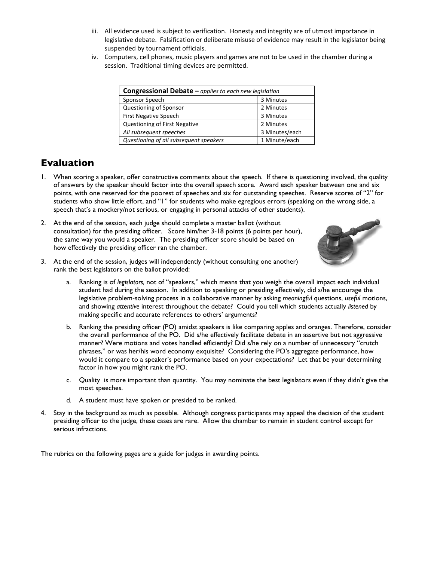- iii. All evidence used is subject to verification. Honesty and integrity are of utmost importance in legislative debate. Falsification or deliberate misuse of evidence may result in the legislator being suspended by tournament officials.
- iv. Computers, cell phones, music players and games are not to be used in the chamber during a session. Traditional timing devices are permitted.

| <b>Congressional Debate</b> $-\rho$ <i>applies to each new legislation</i> |                |  |  |
|----------------------------------------------------------------------------|----------------|--|--|
| Sponsor Speech                                                             | 3 Minutes      |  |  |
| Questioning of Sponsor                                                     | 2 Minutes      |  |  |
| <b>First Negative Speech</b>                                               | 3 Minutes      |  |  |
| Questioning of First Negative                                              | 2 Minutes      |  |  |
| All subsequent speeches                                                    | 3 Minutes/each |  |  |
| Questioning of all subsequent speakers                                     | 1 Minute/each  |  |  |

### **Evaluation**

- 1. When scoring a speaker, offer constructive comments about the speech. If there is questioning involved, the quality of answers by the speaker should factor into the overall speech score. Award each speaker between one and six points, with one reserved for the poorest of speeches and six for outstanding speeches. Reserve scores of "2" for students who show little effort, and "1" for students who make egregious errors (speaking on the wrong side, a speech that's a mockery/not serious, or engaging in personal attacks of other students).
- 2. At the end of the session, each judge should complete a master ballot (without consultation) for the presiding officer. Score him/her 3-18 points (6 points per hour), the same way you would a speaker. The presiding officer score should be based on how effectively the presiding officer ran the chamber.



- 3. At the end of the session, judges will independently (without consulting one another) rank the best legislators on the ballot provided:
	- a. Ranking is of *legislators,* not of "speakers," which means that you weigh the overall impact each individual student had during the session. In addition to speaking or presiding effectively, did s/he encourage the legislative problem-solving process in a collaborative manner by asking *meaningful* questions, *useful* motions, and showing *attentive* interest throughout the debate? Could you tell which students actually *listened* by making specific and accurate references to others' arguments?
	- b. Ranking the presiding officer (PO) amidst speakers is like comparing apples and oranges. Therefore, consider the overall performance of the PO. Did s/he effectively facilitate debate in an assertive but not aggressive manner? Were motions and votes handled efficiently? Did s/he rely on a number of unnecessary "crutch phrases," or was her/his word economy exquisite? Considering the PO's aggregate performance, how would it compare to a speaker's performance based on your expectations? Let that be your determining factor in how you might rank the PO.
	- c. Quality is more important than quantity. You may nominate the best legislators even if they didn't give the most speeches.
	- d. A student must have spoken or presided to be ranked.
- 4. Stay in the background as much as possible. Although congress participants may appeal the decision of the student presiding officer to the judge, these cases are rare. Allow the chamber to remain in student control except for serious infractions.

The rubrics on the following pages are a guide for judges in awarding points.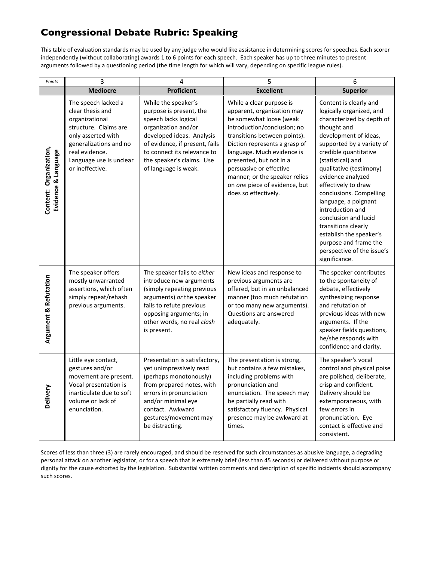## **Congressional Debate Rubric: Speaking**

This table of evaluation standards may be used by any judge who would like assistance in determining scores for speeches. Each scorer independently (without collaborating) awards 1 to 6 points for each speech. Each speaker has up to three minutes to present arguments followed by a questioning period (the time length for which will vary, depending on specific league rules).

| Points                                        | 3                                                                                                                                                                                                  | 4                                                                                                                                                                                                                                                | 5                                                                                                                                                                                                                                                                                                                                                               | 6                                                                                                                                                                                                                                                                                                                                                                                                                                                                                                  |
|-----------------------------------------------|----------------------------------------------------------------------------------------------------------------------------------------------------------------------------------------------------|--------------------------------------------------------------------------------------------------------------------------------------------------------------------------------------------------------------------------------------------------|-----------------------------------------------------------------------------------------------------------------------------------------------------------------------------------------------------------------------------------------------------------------------------------------------------------------------------------------------------------------|----------------------------------------------------------------------------------------------------------------------------------------------------------------------------------------------------------------------------------------------------------------------------------------------------------------------------------------------------------------------------------------------------------------------------------------------------------------------------------------------------|
|                                               | <b>Mediocre</b>                                                                                                                                                                                    | <b>Proficient</b>                                                                                                                                                                                                                                | <b>Excellent</b>                                                                                                                                                                                                                                                                                                                                                | <b>Superior</b>                                                                                                                                                                                                                                                                                                                                                                                                                                                                                    |
| Content: Organization,<br>Evidence & Language | The speech lacked a<br>clear thesis and<br>organizational<br>structure. Claims are<br>only asserted with<br>generalizations and no<br>real evidence.<br>Language use is unclear<br>or ineffective. | While the speaker's<br>purpose is present, the<br>speech lacks logical<br>organization and/or<br>developed ideas. Analysis<br>of evidence, if present, fails<br>to connect its relevance to<br>the speaker's claims. Use<br>of language is weak. | While a clear purpose is<br>apparent, organization may<br>be somewhat loose (weak<br>introduction/conclusion; no<br>transitions between points).<br>Diction represents a grasp of<br>language. Much evidence is<br>presented, but not in a<br>persuasive or effective<br>manner; or the speaker relies<br>on one piece of evidence, but<br>does so effectively. | Content is clearly and<br>logically organized, and<br>characterized by depth of<br>thought and<br>development of ideas,<br>supported by a variety of<br>credible quantitative<br>(statistical) and<br>qualitative (testimony)<br>evidence analyzed<br>effectively to draw<br>conclusions. Compelling<br>language, a poignant<br>introduction and<br>conclusion and lucid<br>transitions clearly<br>establish the speaker's<br>purpose and frame the<br>perspective of the issue's<br>significance. |
| Argument & Refutation                         | The speaker offers<br>mostly unwarranted<br>assertions, which often<br>simply repeat/rehash<br>previous arguments.                                                                                 | The speaker fails to either<br>introduce new arguments<br>(simply repeating previous<br>arguments) or the speaker<br>fails to refute previous<br>opposing arguments; in<br>other words, no real clash<br>is present.                             | New ideas and response to<br>previous arguments are<br>offered, but in an unbalanced<br>manner (too much refutation<br>or too many new arguments).<br>Questions are answered<br>adequately.                                                                                                                                                                     | The speaker contributes<br>to the spontaneity of<br>debate, effectively<br>synthesizing response<br>and refutation of<br>previous ideas with new<br>arguments. If the<br>speaker fields questions,<br>he/she responds with<br>confidence and clarity.                                                                                                                                                                                                                                              |
| Delivery                                      | Little eye contact,<br>gestures and/or<br>movement are present.<br>Vocal presentation is<br>inarticulate due to soft<br>volume or lack of<br>enunciation.                                          | Presentation is satisfactory,<br>yet unimpressively read<br>(perhaps monotonously)<br>from prepared notes, with<br>errors in pronunciation<br>and/or minimal eye<br>contact. Awkward<br>gestures/movement may<br>be distracting.                 | The presentation is strong,<br>but contains a few mistakes,<br>including problems with<br>pronunciation and<br>enunciation. The speech may<br>be partially read with<br>satisfactory fluency. Physical<br>presence may be awkward at<br>times.                                                                                                                  | The speaker's vocal<br>control and physical poise<br>are polished, deliberate,<br>crisp and confident.<br>Delivery should be<br>extemporaneous, with<br>few errors in<br>pronunciation. Eye<br>contact is effective and<br>consistent.                                                                                                                                                                                                                                                             |

Scores of less than three (3) are rarely encouraged, and should be reserved for such circumstances as abusive language, a degrading personal attack on another legislator, or for a speech that is extremely brief (less than 45 seconds) or delivered without purpose or dignity for the cause exhorted by the legislation. Substantial written comments and description of specific incidents should accompany such scores.